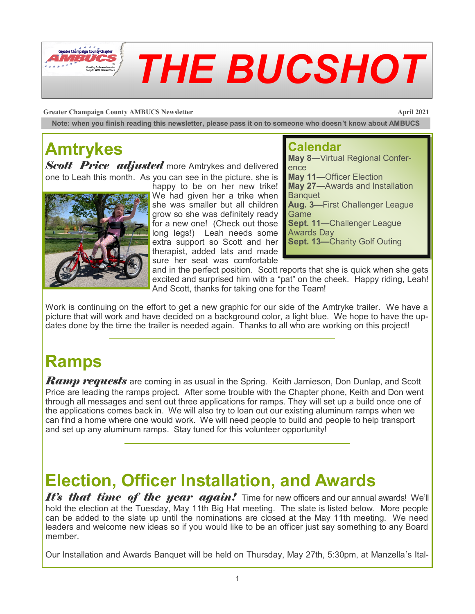

**Greater Champaign County AMBUCS Newsletter April 2021** 

**Note: when you finish reading this newsletter, please pass it on to someone who doesn't know about AMBUCS**

# **Amtrykes**

**Scott Price adjusted** more Amtrykes and delivered one to Leah this month. As you can see in the picture, she is



happy to be on her new trike! We had given her a trike when she was smaller but all children grow so she was definitely ready for a new one! (Check out those long legs!) Leah needs some extra support so Scott and her therapist, added lats and made sure her seat was comfortable

### **Calendar**

**May 8—**Virtual Regional Conference **May 11—**Officer Election **May 27—**Awards and Installation **Banquet Aug. 3—**First Challenger League **Game Sept. 11—**Challenger League Awards Day **Sept. 13—**Charity Golf Outing

and in the perfect position. Scott reports that she is quick when she gets excited and surprised him with a "pat" on the cheek. Happy riding, Leah! And Scott, thanks for taking one for the Team!

Work is continuing on the effort to get a new graphic for our side of the Amtryke trailer. We have a picture that will work and have decided on a background color, a light blue. We hope to have the updates done by the time the trailer is needed again. Thanks to all who are working on this project!

### **Ramps**

*Ramp requests* are coming in as usual in the Spring. Keith Jamieson, Don Dunlap, and Scott Price are leading the ramps project. After some trouble with the Chapter phone, Keith and Don went through all messages and sent out three applications for ramps. They will set up a build once one of the applications comes back in. We will also try to loan out our existing aluminum ramps when we can find a home where one would work. We will need people to build and people to help transport and set up any aluminum ramps. Stay tuned for this volunteer opportunity!

## **Election, Officer Installation, and Awards**

*It's that time of the year again!* Time for new officers and our annual awards! We'll hold the election at the Tuesday, May 11th Big Hat meeting. The slate is listed below. More people can be added to the slate up until the nominations are closed at the May 11th meeting. We need leaders and welcome new ideas so if you would like to be an officer just say something to any Board member.

Our Installation and Awards Banquet will be held on Thursday, May 27th, 5:30pm, at Manzella's Ital-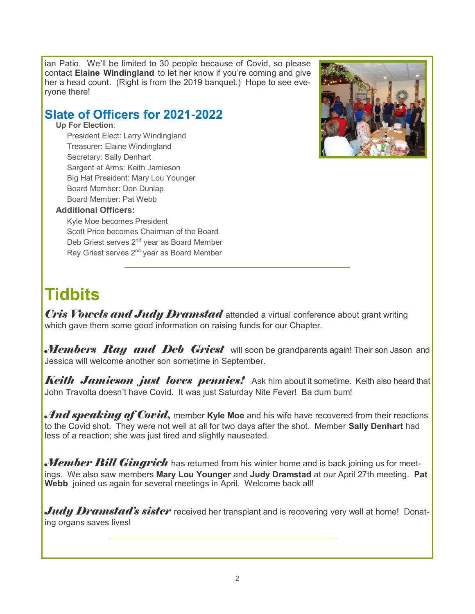ian Patio. We'll be limited to 30 people because of Covid, so please contact **Elaine Windingland** to let her know if you're coming and give her a head count. (Right is from the 2019 banquet.) Hope to see everyone there!

### **Slate of Officers for 2021-2022**

**Up For Election**:

President Elect: Larry Windingland Treasurer: Elaine Windingland Secretary: Sally Denhart Sargent at Arms: Keith Jamieson Big Hat President: Mary Lou Younger Board Member: Don Dunlap Board Member: Pat Webb

#### **Additional Officers:**

Kyle Moe becomes President Scott Price becomes Chairman of the Board Deb Griest serves 2<sup>nd</sup> year as Board Member Ray Griest serves  $2^{nd}$  year as Board Member



### **Tidbits**

*Cris Vowels and Judy Dramstad* attended a virtual conference about grant writing which gave them some good information on raising funds for our Chapter.

*Members Ray and Deb Griest* will soon be grandparents again! Their son Jason and Jessica will welcome another son sometime in September.

**Keith Jamieson just loves pennies!** Ask him about it sometime. Keith also heard that John Travolta doesn't have Covid. It was just Saturday Nite Fever! Ba dum bum!

*And speaking of Covid,* member **Kyle Moe** and his wife have recovered from their reactions to the Covid shot. They were not well at all for two days after the shot. Member **Sally Denhart** had less of a reaction; she was just tired and slightly nauseated.

*Member Bill Gingrich* has returned from his winter home and is back joining us for meetings. We also saw members **Mary Lou Younger** and **Judy Dramstad** at our April 27th meeting. **Pat Webb** joined us again for several meetings in April. Welcome back all!

*Judy Dramstad's sister* received her transplant and is recovering very well at home! Donating organs saves lives!